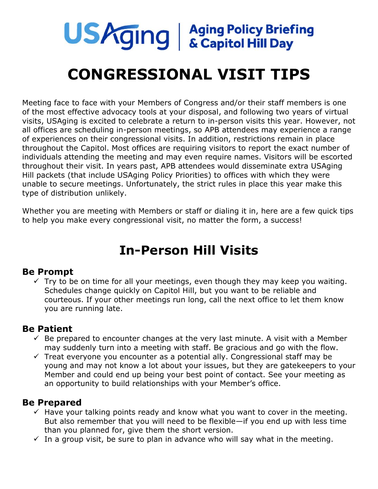

# **CONGRESSIONAL VISIT TIPS**

Meeting face to face with your Members of Congress and/or their staff members is one of the most effective advocacy tools at your disposal, and following two years of virtual visits, USAging is excited to celebrate a return to in-person visits this year. However, not all offices are scheduling in-person meetings, so APB attendees may experience a range of experiences on their congressional visits. In addition, restrictions remain in place throughout the Capitol. Most offices are requiring visitors to report the exact number of individuals attending the meeting and may even require names. Visitors will be escorted throughout their visit. In years past, APB attendees would disseminate extra USAging Hill packets (that include USAging Policy Priorities) to offices with which they were unable to secure meetings. Unfortunately, the strict rules in place this year make this type of distribution unlikely.

Whether you are meeting with Members or staff or dialing it in, here are a few quick tips to help you make every congressional visit, no matter the form, a success!

## **In-Person Hill Visits**

### **Be Prompt**

 $\checkmark$  Try to be on time for all your meetings, even though they may keep you waiting. Schedules change quickly on Capitol Hill, but you want to be reliable and courteous. If your other meetings run long, call the next office to let them know you are running late.

### **Be Patient**

- $\checkmark$  Be prepared to encounter changes at the very last minute. A visit with a Member may suddenly turn into a meeting with staff. Be gracious and go with the flow.
- $\checkmark$  Treat everyone you encounter as a potential ally. Congressional staff may be young and may not know a lot about your issues, but they are gatekeepers to your Member and could end up being your best point of contact. See your meeting as an opportunity to build relationships with your Member's office.

### **Be Prepared**

- $\checkmark$  Have your talking points ready and know what you want to cover in the meeting. But also remember that you will need to be flexible—if you end up with less time than you planned for, give them the short version.
- $\checkmark$  In a group visit, be sure to plan in advance who will say what in the meeting.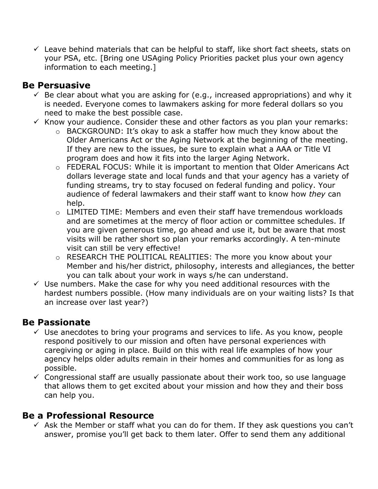$\checkmark$  Leave behind materials that can be helpful to staff, like short fact sheets, stats on your PSA, etc. [Bring one USAging Policy Priorities packet plus your own agency information to each meeting.]

### **Be Persuasive**

- $\checkmark$  Be clear about what you are asking for (e.g., increased appropriations) and why it is needed. Everyone comes to lawmakers asking for more federal dollars so you need to make the best possible case.
- $\checkmark$  Know your audience. Consider these and other factors as you plan your remarks:
	- o BACKGROUND: It's okay to ask a staffer how much they know about the Older Americans Act or the Aging Network at the beginning of the meeting. If they are new to the issues, be sure to explain what a AAA or Title VI program does and how it fits into the larger Aging Network.
	- o FEDERAL FOCUS: While it is important to mention that Older Americans Act dollars leverage state and local funds and that your agency has a variety of funding streams, try to stay focused on federal funding and policy. Your audience of federal lawmakers and their staff want to know how *they* can help.
	- $\circ$  LIMITED TIME: Members and even their staff have tremendous workloads and are sometimes at the mercy of floor action or committee schedules. If you are given generous time, go ahead and use it, but be aware that most visits will be rather short so plan your remarks accordingly. A ten-minute visit can still be very effective!
	- o RESEARCH THE POLITICAL REALITIES: The more you know about your Member and his/her district, philosophy, interests and allegiances, the better you can talk about your work in ways s/he can understand.
- $\checkmark$  Use numbers. Make the case for why you need additional resources with the hardest numbers possible. (How many individuals are on your waiting lists? Is that an increase over last year?)

### **Be Passionate**

- $\checkmark$  Use anecdotes to bring your programs and services to life. As you know, people respond positively to our mission and often have personal experiences with caregiving or aging in place. Build on this with real life examples of how your agency helps older adults remain in their homes and communities for as long as possible.
- $\checkmark$  Congressional staff are usually passionate about their work too, so use language that allows them to get excited about your mission and how they and their boss can help you.

### **Be a Professional Resource**

 $\checkmark$  Ask the Member or staff what you can do for them. If they ask questions you can't answer, promise you'll get back to them later. Offer to send them any additional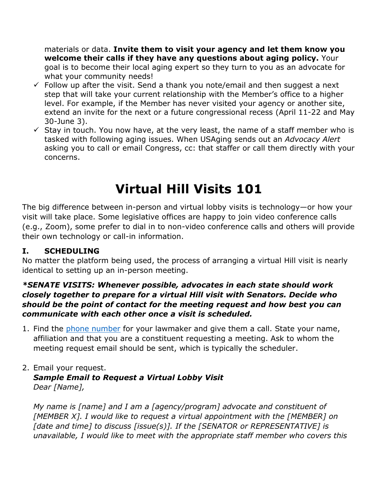materials or data. **Invite them to visit your agency and let them know you welcome their calls if they have any questions about aging policy.** Your goal is to become their local aging expert so they turn to you as an advocate for what your community needs!

- $\checkmark$  Follow up after the visit. Send a thank you note/email and then suggest a next step that will take your current relationship with the Member's office to a higher level. For example, if the Member has never visited your agency or another site, extend an invite for the next or a future congressional recess (April 11-22 and May 30-June 3).
- $\checkmark$  Stay in touch. You now have, at the very least, the name of a staff member who is tasked with following aging issues. When USAging sends out an *Advocacy Alert* asking you to call or email Congress, cc: that staffer or call them directly with your concerns.

# **Virtual Hill Visits 101**

The big difference between in-person and virtual lobby visits is technology—or how your visit will take place. Some legislative offices are happy to join video conference calls (e.g., Zoom), some prefer to dial in to non-video conference calls and others will provide their own technology or call-in information.

### **I. SCHEDULING**

No matter the platform being used, the process of arranging a virtual Hill visit is nearly identical to setting up an in-person meeting.

#### *\*SENATE VISITS: Whenever possible, advocates in each state should work closely together to prepare for a virtual Hill visit with Senators. Decide who should be the point of contact for the meeting request and how best you can communicate with each other once a visit is scheduled.*

1. Find the [phone number](https://www.govtrack.us/congress/members) for your lawmaker and give them a call. State your name, affiliation and that you are a constituent requesting a meeting. Ask to whom the meeting request email should be sent, which is typically the scheduler.

#### 2. Email your request. *Sample Email to Request a Virtual Lobby Visit Dear [Name],*

*My name is [name] and I am a [agency/program] advocate and constituent of [MEMBER X]. I would like to request a virtual appointment with the [MEMBER] on [date and time] to discuss [issue(s)]. If the [SENATOR or REPRESENTATIVE] is unavailable, I would like to meet with the appropriate staff member who covers this*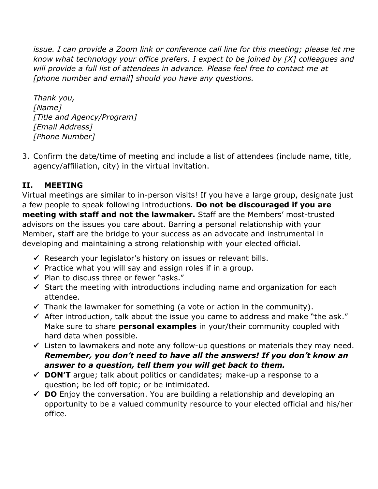*issue. I can provide a Zoom link or conference call line for this meeting; please let me know what technology your office prefers. I expect to be joined by [X] colleagues and will provide a full list of attendees in advance. Please feel free to contact me at [phone number and email] should you have any questions.* 

*Thank you, [Name] [Title and Agency/Program] [Email Address] [Phone Number]* 

3. Confirm the date/time of meeting and include a list of attendees (include name, title, agency/affiliation, city) in the virtual invitation.

### **II. MEETING**

Virtual meetings are similar to in-person visits! If you have a large group, designate just a few people to speak following introductions. **Do not be discouraged if you are meeting with staff and not the lawmaker.** Staff are the Members' most-trusted advisors on the issues you care about. Barring a personal relationship with your Member, staff are the bridge to your success as an advocate and instrumental in developing and maintaining a strong relationship with your elected official.

- $\checkmark$  Research your legislator's history on issues or relevant bills.
- $\checkmark$  Practice what you will say and assign roles if in a group.
- ✓ Plan to discuss three or fewer "asks."
- $\checkmark$  Start the meeting with introductions including name and organization for each attendee.
- $\checkmark$  Thank the lawmaker for something (a vote or action in the community).
- $\checkmark$  After introduction, talk about the issue you came to address and make "the ask." Make sure to share **personal examples** in your/their community coupled with hard data when possible.
- $\checkmark$  Listen to lawmakers and note any follow-up questions or materials they may need. *Remember, you don't need to have all the answers! If you don't know an answer to a question, tell them you will get back to them.*
- ✓ **DON'T** argue; talk about politics or candidates; make-up a response to a question; be led off topic; or be intimidated.
- $\checkmark$  **DO** Enjoy the conversation. You are building a relationship and developing an opportunity to be a valued community resource to your elected official and his/her office.